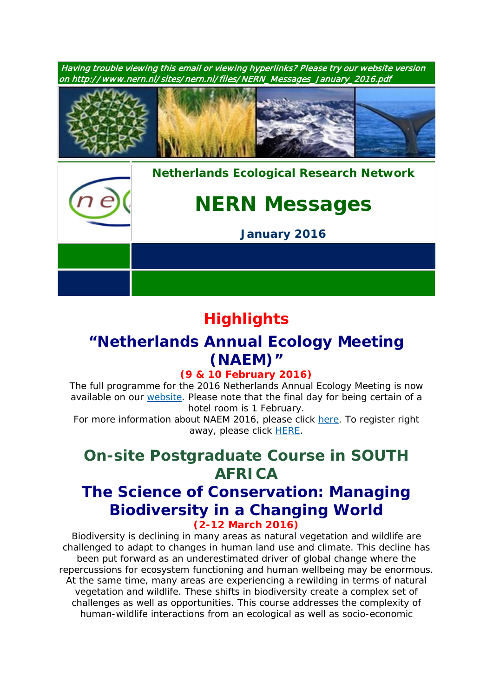Having trouble viewing this email or viewing hyperlinks? Please try our website version on http:/ / www.nern.nl/ sites/ nern.nl/ files/ NERN\_Messages\_January\_2016.pdf



*[Nethe](http://www.nern.nl/)rlands Ecological Research Network*

# *NERN Messages*

*January 2016*

## **Highlights**

### **"Netherlands Annual Ecology Meeting (NAEM)"**

### **(9 & 10 February 2016)**

*The full programme for the 2016 Netherlands Annual Ecology Meeting is now available on our [website.](http://nern.nl/NAEM2016) Please note that the final day for being certain of a hotel room is 1 February.*

*For more information about NAEM 2016, please click [here.](http://nern.nl/NAEM2016) To register right away, please click [HERE.](http://www.nern.nl/node/142)*

# *On-site Postgraduate Course in SOUTH AFRICA*

### **The Science of Conservation: Managing Biodiversity in a Changing World (2-12 March 2016)**

*Biodiversity is declining in many areas as natural vegetation and wildlife are challenged to adapt to changes in human land use and climate. This decline has been put forward as an underestimated driver of global change where the repercussions for ecosystem functioning and human wellbeing may be enormous. At the same time, many areas are experiencing a rewilding in terms of natural vegetation and wildlife. These shifts in biodiversity create a complex set of challenges as well as opportunities. This course addresses the complexity of human-wildlife interactions from an ecological as well as socio-economic*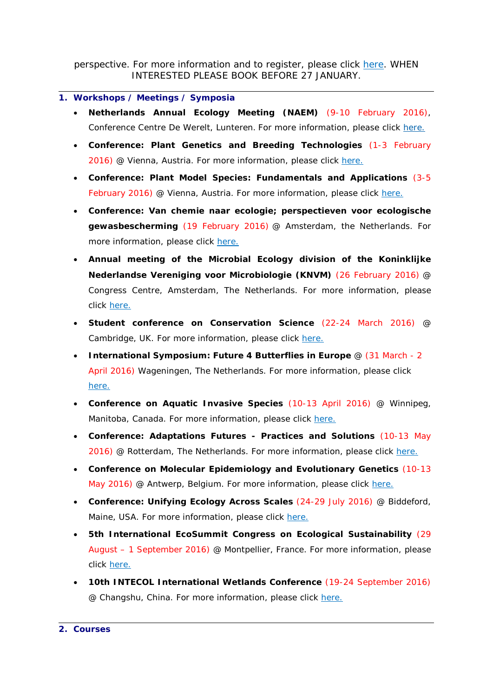*perspective. For more information and to register, please click [here.](https://www.pe-rc.nl/biodiversity2016) WHEN INTERESTED PLEASE BOOK BEFORE 27 JANUARY.*

#### **1. Workshops / Meetings / Symposia**

- **Netherlands Annual Ecology Meeting (NAEM)** (9-10 February 2016), Conference Centre De Werelt, Lunteren. For more information, please click [here.](http://nern.nl/NAEM2016)
- **Conference: Plant Genetics and Breeding Technologies** (1-3 February 2016) @ Vienna, Austria. For more information, please click [here.](http://viscea.org/index.php/plant-genetics-breeding)
- **Conference: Plant Model Species: Fundamentals and Applications** (3-5 February 2016) @ Vienna, Austria. For more information, please click [here.](http://viscea.org/index.php/plant-model-species)
- **Conference: Van chemie naar ecologie; perspectieven voor ecologische gewasbescherming** (19 February 2016) @ Amsterdam, the Netherlands. For more information, please click [here.](http://www.knaw.nl/nl/actueel/agenda/van-chemie-naar-ecologie)
- **Annual meeting of the Microbial Ecology division of the Koninklijke Nederlandse Vereniging voor Microbiologie (KNVM)** (26 February 2016) @ Congress Centre, Amsterdam, The Netherlands. For more information, please click [here.](http://muyzer.eu/annual-meeting-of-the-microbial-ecology-division-of-the-koninklijke-nederlandse-vereniging-voor-microbiologie-knvm/)
- **Student conference on Conservation Science** (22-24 March 2016) @ Cambridge, UK. For more information, please click [here.](http://sccs-cam.org/index.htm)
- **International Symposium: Future 4 Butterflies in Europe** @ (31 March 2 April 2016) Wageningen, The Netherlands. For more information, please click [here.](http://www.futureofbutterflies.nl/index.php?id=257)
- **Conference on Aquatic Invasive Species** (10-13 April 2016) @ Winnipeg, Manitoba, Canada. For more information, please click [here.](http://www.icais.org/)
- **Conference: Adaptations Futures - Practices and Solutions** (10-13 May 2016) @ Rotterdam, The Netherlands. For more information, please click [here.](http://www.adaptationfutures2016.org/)
- **Conference on Molecular Epidemiology and Evolutionary Genetics** (10-13 May 2016) @ Antwerp, Belgium. For more information, please click [here.](http://www.meegidconference.com/)
- **Conference: Unifying Ecology Across Scales** (24-29 July 2016) @ Biddeford, Maine, USA. For more information, please click [here.](https://www.grc.org/programs.aspx?id=13261)
- **5th International EcoSummit Congress on Ecological Sustainability** (29 August – 1 September 2016) @ Montpellier, France. For more information, please click [here.](http://www.ecosummit2016.org/)
- **10th INTECOL International Wetlands Conference** (19-24 September 2016) @ Changshu, China. For more information, please click [here.](http://www.intecol-10iwc.com/EN/Index.aspx)